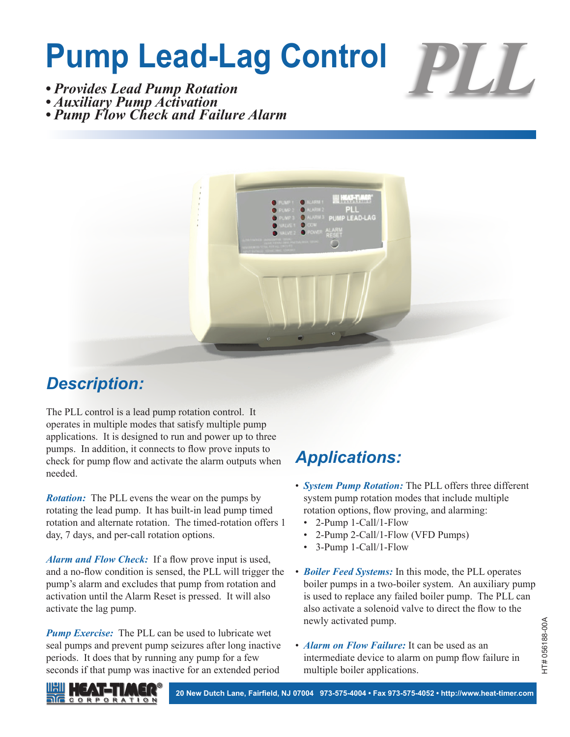# **Pump Lead-Lag Control**



*• Provides Lead Pump Rotation*

*• Auxiliary Pump Activation*

*• Pump Flow Check and Failure Alarm*



#### *Description:*

The PLL control is a lead pump rotation control. It operates in multiple modes that satisfy multiple pump applications. It is designed to run and power up to three pumps. In addition, it connects to flow prove inputs to check for pump flow and activate the alarm outputs when needed.

*Rotation:* The PLL evens the wear on the pumps by rotating the lead pump. It has built-in lead pump timed rotation and alternate rotation. The timed-rotation offers 1 day, 7 days, and per-call rotation options.

*Alarm and Flow Check:* If a flow prove input is used, and a no-flow condition is sensed, the PLL will trigger the pump's alarm and excludes that pump from rotation and activation until the Alarm Reset is pressed. It will also activate the lag pump.

*Pump Exercise:* The PLL can be used to lubricate wet seal pumps and prevent pump seizures after long inactive periods. It does that by running any pump for a few seconds if that pump was inactive for an extended period

## *Applications:*

- *System Pump Rotation:* The PLL offers three different system pump rotation modes that include multiple rotation options, flow proving, and alarming:
	- 2-Pump 1-Call/1-Flow
	- 2-Pump 2-Call/1-Flow (VFD Pumps)
	- 3-Pump 1-Call/1-Flow
- *Boiler Feed Systems:* In this mode, the PLL operates boiler pumps in a two-boiler system. An auxiliary pump is used to replace any failed boiler pump. The PLL can also activate a solenoid valve to direct the flow to the newly activated pump.
- *Alarm on Flow Failure:* It can be used as an intermediate device to alarm on pump flow failure in multiple boiler applications.



**20 New Dutch Lane, Fairfield, NJ 07004 973-575-4004 • Fax 973-575-4052 • http://www.heat-timer.com**